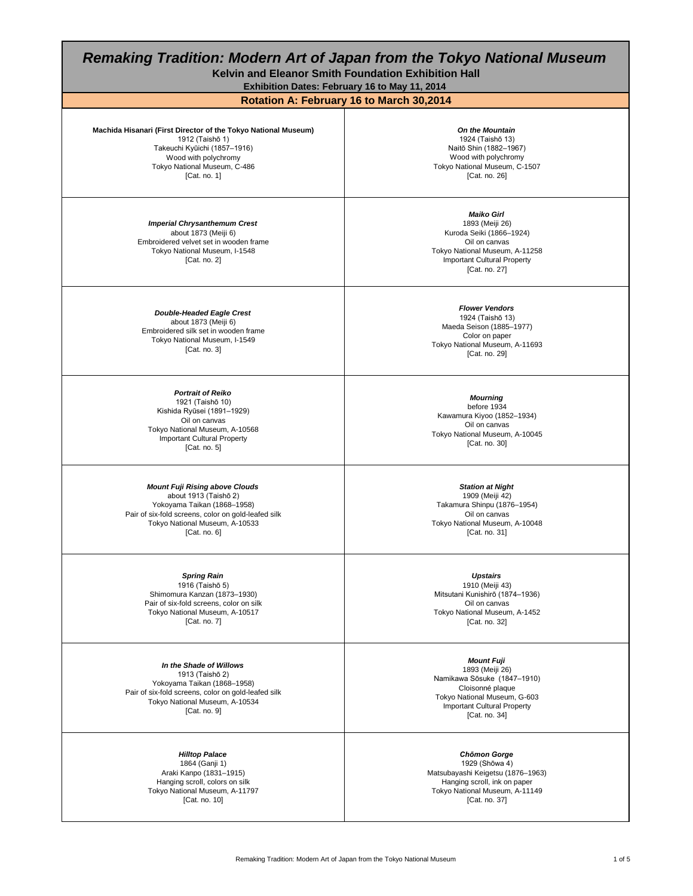| <b>Remaking Tradition: Modern Art of Japan from the Tokyo National Museum</b><br>Kelvin and Eleanor Smith Foundation Exhibition Hall<br>Exhibition Dates: February 16 to May 11, 2014                     |                                                                                                                                                                                            |
|-----------------------------------------------------------------------------------------------------------------------------------------------------------------------------------------------------------|--------------------------------------------------------------------------------------------------------------------------------------------------------------------------------------------|
| Machida Hisanari (First Director of the Tokyo National Museum)<br>1912 (Taishō 1)<br>Takeuchi Kyūichi (1857-1916)<br>Wood with polychromy<br>Tokyo National Museum, C-486<br>[Cat. no. $1$ ]              | Rotation A: February 16 to March 30,2014<br><b>On the Mountain</b><br>1924 (Taishō 13)<br>Naitō Shin (1882-1967)<br>Wood with polychromy<br>Tokyo National Museum, C-1507<br>[Cat. no. 26] |
| <b>Imperial Chrysanthemum Crest</b><br>about 1873 (Meiji 6)<br>Embroidered velvet set in wooden frame<br>Tokyo National Museum, I-1548<br>[Cat. no. $2$ ]                                                 | <b>Maiko Girl</b><br>1893 (Meiji 26)<br>Kuroda Seiki (1866-1924)<br>Oil on canvas<br>Tokyo National Museum, A-11258<br><b>Important Cultural Property</b><br>[Cat. no. 27]                 |
| <b>Double-Headed Eagle Crest</b><br>about 1873 (Meiji 6)<br>Embroidered silk set in wooden frame<br>Tokyo National Museum, I-1549<br>[Cat. no. $3$ ]                                                      | <b>Flower Vendors</b><br>1924 (Taishō 13)<br>Maeda Seison (1885-1977)<br>Color on paper<br>Tokyo National Museum, A-11693<br>[Cat. no. 29]                                                 |
| <b>Portrait of Reiko</b><br>1921 (Taishō 10)<br>Kishida Ryūsei (1891-1929)<br>Oil on canvas<br>Tokyo National Museum, A-10568<br><b>Important Cultural Property</b><br>[Cat. no. 5]                       | <b>Mourning</b><br>before 1934<br>Kawamura Kiyoo (1852-1934)<br>Oil on canvas<br>Tokyo National Museum, A-10045<br>[Cat. no. 30]                                                           |
| <b>Mount Fuji Rising above Clouds</b><br>about 1913 (Taishō 2)<br>Yokoyama Taikan (1868-1958)<br>Pair of six-fold screens, color on gold-leafed silk<br>Tokyo National Museum, A-10533<br>[Cat. no. $6$ ] | <b>Station at Night</b><br>1909 (Meiji 42)<br>Takamura Shinpu (1876-1954)<br>Oil on canvas<br>Tokyo National Museum, A-10048<br>[Cat. no. 31]                                              |
| <b>Spring Rain</b><br>1916 (Taishō 5)<br>Shimomura Kanzan (1873-1930)<br>Pair of six-fold screens, color on silk<br>Tokyo National Museum, A-10517<br>[Cat. no. 7]                                        | <b>Upstairs</b><br>1910 (Meiji 43)<br>Mitsutani Kunishirō (1874-1936)<br>Oil on canvas<br>Tokyo National Museum, A-1452<br>[Cat. no. 32]                                                   |
| In the Shade of Willows<br>1913 (Taishō 2)<br>Yokoyama Taikan (1868-1958)<br>Pair of six-fold screens, color on gold-leafed silk<br>Tokyo National Museum, A-10534<br>[Cat. no. $9$ ]                     | <b>Mount Fuji</b><br>1893 (Meiji 26)<br>Namikawa Sōsuke (1847-1910)<br>Cloisonné plaque<br>Tokyo National Museum, G-603<br><b>Important Cultural Property</b><br>[Cat. no. 34]             |
| <b>Hilltop Palace</b><br>1864 (Ganji 1)<br>Araki Kanpo (1831-1915)<br>Hanging scroll, colors on silk<br>Tokyo National Museum, A-11797<br>[Cat. no. 10]                                                   | <b>Chomon Gorge</b><br>1929 (Shōwa 4)<br>Matsubayashi Keigetsu (1876-1963)<br>Hanging scroll, ink on paper<br>Tokyo National Museum, A-11149<br>[Cat. no. 37]                              |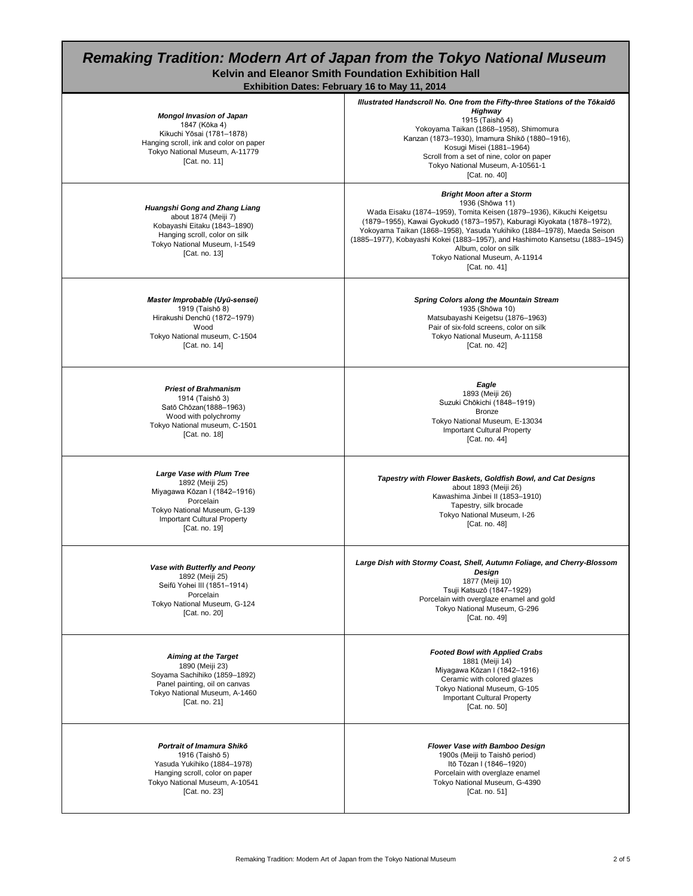## *Remaking Tradition: Modern Art of Japan from the Tokyo National Museum* **Kelvin and Eleanor Smith Foundation Exhibition Hall**

| <b>Exhibition Dates: February 16 to May 11, 2014</b>                                                                                                                                    |                                                                                                                                                                                                                                                                                                                                                                                                                                            |  |
|-----------------------------------------------------------------------------------------------------------------------------------------------------------------------------------------|--------------------------------------------------------------------------------------------------------------------------------------------------------------------------------------------------------------------------------------------------------------------------------------------------------------------------------------------------------------------------------------------------------------------------------------------|--|
| <b>Mongol Invasion of Japan</b><br>1847 (Kōka 4)<br>Kikuchi Yōsai (1781-1878)<br>Hanging scroll, ink and color on paper<br>Tokyo National Museum, A-11779<br>[Cat. no. 11]              | Illustrated Handscroll No. One from the Fifty-three Stations of the Tōkaidō<br>Highway<br>1915 (Taishō 4)<br>Yokoyama Taikan (1868-1958), Shimomura<br>Kanzan (1873-1930), Imamura Shikō (1880-1916),<br>Kosugi Misei (1881-1964)<br>Scroll from a set of nine, color on paper<br>Tokyo National Museum, A-10561-1<br>[Cat. no. 40]                                                                                                        |  |
| Huangshi Gong and Zhang Liang<br>about 1874 (Meiji 7)<br>Kobayashi Eitaku (1843-1890)<br>Hanging scroll, color on silk<br>Tokyo National Museum, I-1549<br>[Cat. no. 13]                | <b>Bright Moon after a Storm</b><br>1936 (Shōwa 11)<br>Wada Eisaku (1874-1959), Tomita Keisen (1879-1936), Kikuchi Keigetsu<br>(1879-1955), Kawai Gyokudō (1873-1957), Kaburagi Kiyokata (1878-1972),<br>Yokoyama Taikan (1868-1958), Yasuda Yukihiko (1884-1978), Maeda Seison<br>(1885–1977), Kobayashi Kokei (1883–1957), and Hashimoto Kansetsu (1883–1945)<br>Album, color on silk<br>Tokyo National Museum, A-11914<br>[Cat. no. 41] |  |
| Master Improbable (Uyū-sensei)<br>1919 (Taishō 8)<br>Hirakushi Denchū (1872-1979)<br>Wood<br>Tokyo National museum, C-1504<br>[Cat. no. 14]                                             | <b>Spring Colors along the Mountain Stream</b><br>1935 (Shōwa 10)<br>Matsubayashi Keigetsu (1876-1963)<br>Pair of six-fold screens, color on silk<br>Tokyo National Museum, A-11158<br>[Cat. no. 42]                                                                                                                                                                                                                                       |  |
| <b>Priest of Brahmanism</b><br>1914 (Taishō 3)<br>Satō Chōzan(1888-1963)<br>Wood with polychromy<br>Tokyo National museum, C-1501<br>[Cat. no. 18]                                      | Eagle<br>1893 (Meiji 26)<br>Suzuki Chōkichi (1848-1919)<br><b>Bronze</b><br>Tokyo National Museum, E-13034<br><b>Important Cultural Property</b><br>[Cat. no. 44]                                                                                                                                                                                                                                                                          |  |
| <b>Large Vase with Plum Tree</b><br>1892 (Meiji 25)<br>Miyagawa Kōzan I (1842-1916)<br>Porcelain<br>Tokyo National Museum, G-139<br><b>Important Cultural Property</b><br>[Cat. no. 19] | Tapestry with Flower Baskets, Goldfish Bowl, and Cat Designs<br>about 1893 (Meiji 26)<br>Kawashima Jinbei II (1853-1910)<br>Tapestry, silk brocade<br>Tokyo National Museum, I-26<br>[Cat. no. 48]                                                                                                                                                                                                                                         |  |
| Vase with Butterfly and Peony<br>1892 (Meiji 25)<br>Seifū Yohei III (1851-1914)<br>Porcelain<br>Tokyo National Museum, G-124<br>[Cat. no. 20]                                           | Large Dish with Stormy Coast, Shell, Autumn Foliage, and Cherry-Blossom<br>Design<br>1877 (Meiji 10)<br>Tsuji Katsuzō (1847-1929)<br>Porcelain with overglaze enamel and gold<br>Tokyo National Museum, G-296<br>[Cat. no. 49]                                                                                                                                                                                                             |  |
| <b>Aiming at the Target</b><br>1890 (Meiji 23)<br>Soyama Sachihiko (1859-1892)<br>Panel painting, oil on canvas<br>Tokyo National Museum, A-1460<br>[Cat. no. 21]                       | <b>Footed Bowl with Applied Crabs</b><br>1881 (Meiji 14)<br>Miyagawa Kōzan I (1842-1916)<br>Ceramic with colored glazes<br>Tokyo National Museum, G-105<br><b>Important Cultural Property</b><br>[Cat. no. 50]                                                                                                                                                                                                                             |  |
| Portrait of Imamura Shikō<br>1916 (Taishō 5)<br>Yasuda Yukihiko (1884-1978)<br>Hanging scroll, color on paper<br>Tokyo National Museum, A-10541                                         | <b>Flower Vase with Bamboo Design</b><br>1900s (Meiji to Taishō period)<br>Itō Tōzan I (1846-1920)<br>Porcelain with overglaze enamel<br>Tokyo National Museum, G-4390                                                                                                                                                                                                                                                                     |  |

[Cat. no. 23]

[Cat. no. 51]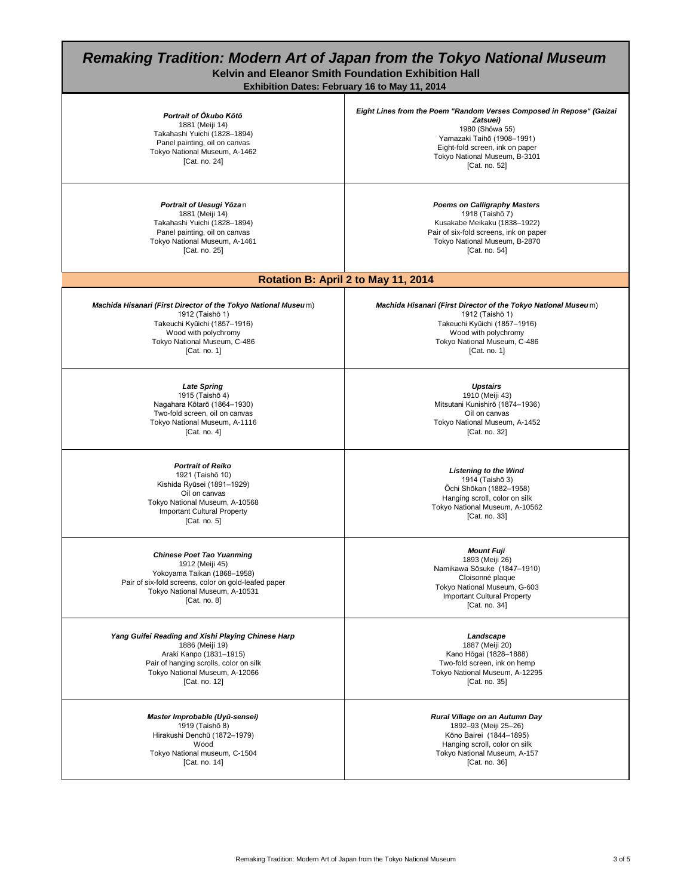## *Remaking Tradition: Modern Art of Japan from the Tokyo National Museum* **Kelvin and Eleanor Smith Foundation Exhibition Hall Exhibition Dates: February 16 to May 11, 2014**  *Portrait of Ōkubo Kōtō* 1881 (Meiji 14) Takahashi Yuichi (1828–1894) Panel painting, oil on canvas Tokyo National Museum, A-1462 [Cat. no. 24] *Eight Lines from the Poem "Random Verses Composed in Repose" (Gaizai Zatsuei)* 1980 (Shōwa 55) Yamazaki Taihō (1908–1991) Eight-fold screen, ink on paper Tokyo National Museum, B-3101 [Cat. no. 52] *Portrait of Uesugi Yōza* n 1881 (Meiji 14) Takahashi Yuichi (1828–1894) Panel painting, oil on canvas Tokyo National Museum, A-1461 [Cat. no. 25] *Poems on Calligraphy Masters* 1918 (Taishō 7) Kusakabe Meikaku (1838–1922) Pair of six-fold screens, ink on paper Tokyo National Museum, B-2870 [Cat. no. 54] *Machida Hisanari (First Director of the Tokyo National Museu* m) 1912 (Taishō 1) Takeuchi Kyūichi (1857–1916) Wood with polychromy Tokyo National Museum, C-486 [Cat. no. 1] *Machida Hisanari (First Director of the Tokyo National Museu* m) 1912 (Taishō 1) Takeuchi Kyūichi (1857–1916) Wood with polychromy Tokyo National Museum, C-486 [Cat. no. 1] *Late Spring* 1915 (Taishō 4) Nagahara Kōtarō (1864–1930) Two-fold screen, oil on canvas Tokyo National Museum, A-1116 [Cat. no. 4] *Upstairs* 1910 (Meiji 43) Mitsutani Kunishirō (1874–1936) Oil on canvas Tokyo National Museum, A-1452 [Cat. no. 32] *Portrait of Reiko* 1921 (Taishō 10) Kishida Ryūsei (1891–1929) Oil on canvas Tokyo National Museum, A-10568 Important Cultural Property [Cat. no. 5] *Listening to the Wind* 1914 (Taishō 3) Ōchi Shōkan (1882–1958) Hanging scroll, color on silk Tokyo National Museum, A-10562 [Cat. no. 33] *Chinese Poet Tao Yuanming* 1912 (Meiji 45) Yokoyama Taikan (1868–1958) Pair of six-fold screens, color on gold-leafed paper Tokyo National Museum, A-10531 [Cat. no. 8] *Mount Fuji* 1893 (Meiji 26) Namikawa Sōsuke (1847–1910) Cloisonné plaque Tokyo National Museum, G-603 Important Cultural Property [Cat. no. 34] *Yang Guifei Reading and Xishi Playing Chinese Harp* 1886 (Meiji 19) Araki Kanpo (1831–1915) Pair of hanging scrolls, color on silk Tokyo National Museum, A-12066 [Cat. no. 12] *Landscape* 1887 (Meiji 20) Kano Hōgai (1828–1888) Two-fold screen, ink on hemp Tokyo National Museum, A-12295 [Cat. no. 35] *Master Improbable (Uyū-sensei)* 1919 (Taishō 8) Hirakushi Denchū (1872–1979) Wood Tokyo National museum, C-1504 [Cat. no. 14] *Rural Village on an Autumn Day* 1892–93 (Meiji 25–26) Kōno Bairei (1844–1895) Hanging scroll, color on silk Tokyo National Museum, A-157 [Cat. no. 36] **Rotation B: April 2 to May 11, 2014**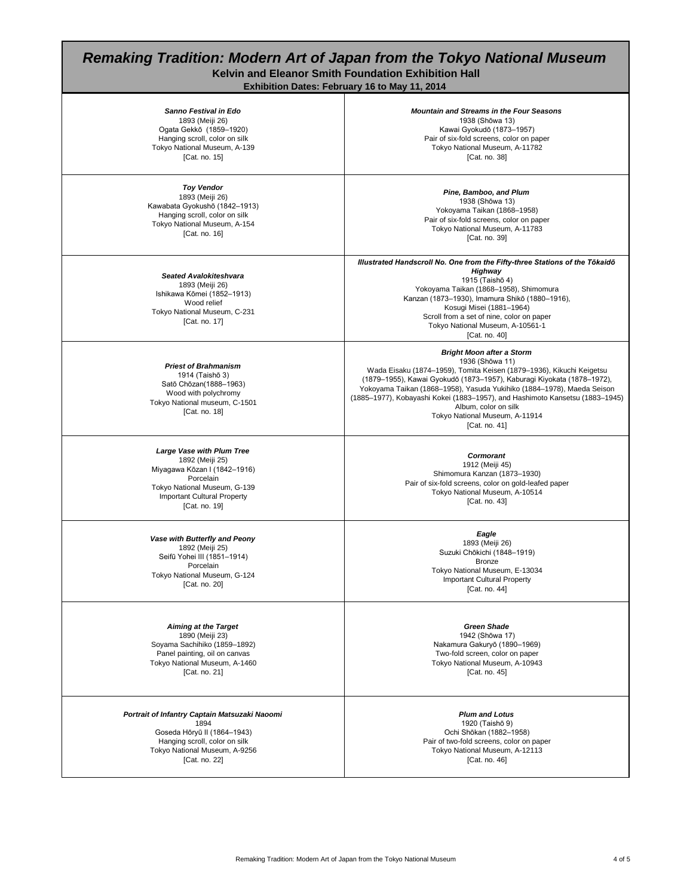## *Remaking Tradition: Modern Art of Japan from the Tokyo National Museum* **Kelvin and Eleanor Smith Foundation Exhibition Hall Exhibition Dates: February 16 to May 11, 2014**

*Sanno Festival in Edo* 1893 (Meiji 26) Ogata Gekkō (1859–1920) Hanging scroll, color on silk Tokyo National Museum, A-139 [Cat. no. 15] *Mountain and Streams in the Four Seasons* 1938 (Shōwa 13) Kawai Gyokudō (1873–1957) Pair of six-fold screens, color on paper Tokyo National Museum, A-11782 [Cat. no. 38] *Toy Vendor* 1893 (Meiji 26) Kawabata Gyokushō (1842–1913) Hanging scroll, color on silk Tokyo National Museum, A-154 [Cat. no. 16] *Pine, Bamboo, and Plum* 1938 (Shōwa 13) Yokoyama Taikan (1868–1958) Pair of six-fold screens, color on paper Tokyo National Museum, A-11783 [Cat. no. 39] *Seated Avalokiteshvara* 1893 (Meiji 26) Ishikawa Kōmei (1852–1913) Wood relief Tokyo National Museum, C-231 [Cat. no. 17] *Illustrated Handscroll No. One from the Fifty-three Stations of the Tōkaidō Highway* 1915 (Taishō 4) Yokoyama Taikan (1868–1958), Shimomura Kanzan (1873–1930), Imamura Shikō (1880–1916), Kosugi Misei (1881–1964) Scroll from a set of nine, color on paper Tokyo National Museum, A-10561-1 [Cat. no. 40] *Priest of Brahmanism*  1914 (Taishō 3) Satō Chōzan(1888–1963) Wood with polychromy Tokyo National museum, C-1501 [Cat. no. 18] *Bright Moon after a Storm* 1936 (Shōwa 11) Wada Eisaku (1874–1959), Tomita Keisen (1879–1936), Kikuchi Keigetsu (1879–1955), Kawai Gyokudō (1873–1957), Kaburagi Kiyokata (1878–1972), Yokoyama Taikan (1868–1958), Yasuda Yukihiko (1884–1978), Maeda Seison (1885–1977), Kobayashi Kokei (1883–1957), and Hashimoto Kansetsu (1883–1945) Album, color on silk Tokyo National Museum, A-11914 [Cat. no. 41] *Large Vase with Plum Tree* 1892 (Meiji 25) Miyagawa Kōzan I (1842–1916) Porcelain Tokyo National Museum, G-139 Important Cultural Property [Cat. no. 19] *Cormorant* 1912 (Meiji 45) Shimomura Kanzan (1873–1930) Pair of six-fold screens, color on gold-leafed paper Tokyo National Museum, A-10514 [Cat. no. 43] *Vase with Butterfly and Peony* 1892 (Meiji 25) Seifū Yohei lII (1851–1914) Porcelain Tokyo National Museum, G-124 [Cat. no. 20] *Eagle* 1893 (Meiji 26) Suzuki Chōkichi (1848–1919) **Bronze** Tokyo National Museum, E-13034 Important Cultural Property [Cat. no. 44] *Aiming at the Target* 1890 (Meiji 23) Soyama Sachihiko (1859–1892) Panel painting, oil on canvas Tokyo National Museum, A-1460 [Cat. no. 21] *Green Shade* 1942 (Shōwa 17) Nakamura Gakuryō (1890–1969) Two-fold screen, color on paper Tokyo National Museum, A-10943 [Cat. no. 45] *Portrait of Infantry Captain Matsuzaki Naoomi* 1894 Goseda Hōryū II (1864–1943) Hanging scroll, color on silk Tokyo National Museum, A-9256 *Plum and Lotus* 1920 (Taishō 9) Ochi Shōkan (1882–1958) Pair of two-fold screens, color on paper Tokyo National Museum, A-12113

Remaking Tradition: Modern Art of Japan from the Tokyo National Museum 4 of 5

[Cat. no. 22]

[Cat. no. 46]